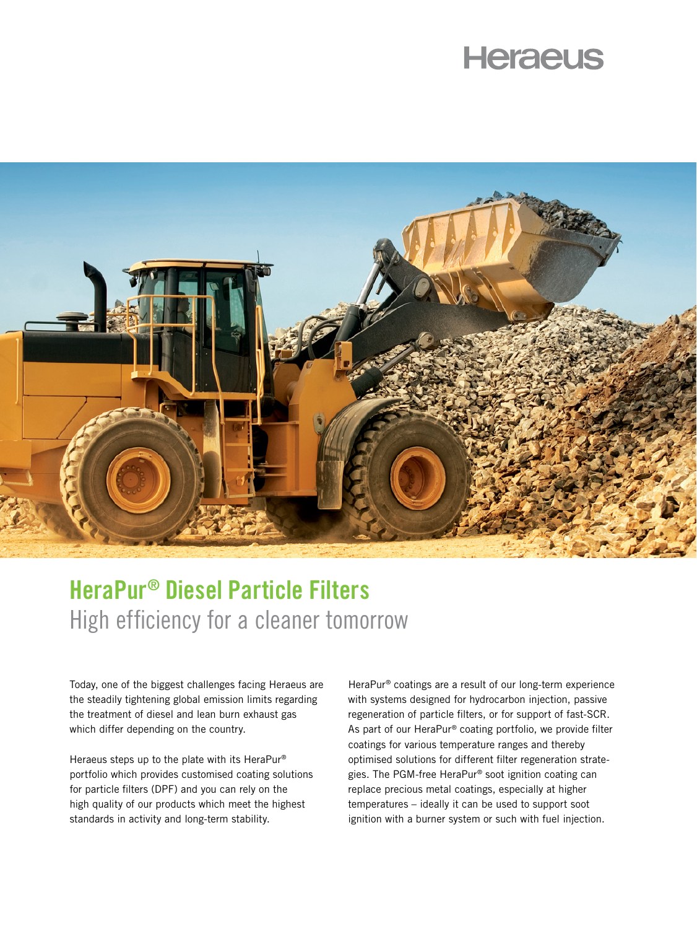## **Heraeus**



## HeraPur® Diesel Particle Filters High efficiency for a cleaner tomorrow

Today, one of the biggest challenges facing Heraeus are the steadily tightening global emission limits regarding the treatment of diesel and lean burn exhaust gas which differ depending on the country.

Heraeus steps up to the plate with its HeraPur® portfolio which provides customised coating solutions for particle filters (DPF) and you can rely on the high quality of our products which meet the highest standards in activity and long-term stability.

HeraPur® coatings are a result of our long-term experience with systems designed for hydrocarbon injection, passive regeneration of particle filters, or for support of fast-SCR. As part of our HeraPur® coating portfolio, we provide filter coatings for various temperature ranges and thereby optimised solutions for different filter regeneration strategies. The PGM-free HeraPur® soot ignition coating can replace precious metal coatings, especially at higher temperatures – ideally it can be used to support soot ignition with a burner system or such with fuel injection.